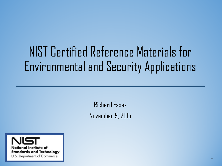# NIST Certified Reference Materials for Environmental and Security Applications

Richard Essex November 9, 2015

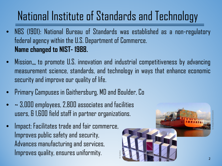#### National Institute of Standards and Technology

- NBS (1901): National Bureau of Standards was established as a non-regulatory federal agency within the U.S. Department of Commerce. **Name changed to NIST- 1988.**
- Mission… to promote U.S. innovation and industrial competitiveness by advancing measurement science, standards, and technology in ways that enhance economic security and improve our quality of life.

B. Gardner

- Primary Campuses in Gaithersburg, MD and Boulder, Co
- ~ 3,000 employees, 2,800 associates and facilities users, & 1,600 field staff in partner organizations.
- Impact: Facilitates trade and fair commerce, Improves public safety and security, Advances manufacturing and services, Improves quality, ensures uniformity.

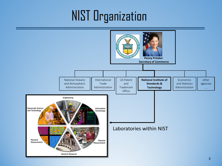# NIST Organization

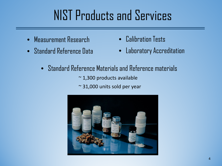# NIST Products and Services

- Measurement Research
- Standard Reference Data
- Calibration Tests
- Laboratory Accreditation
- Standard Reference Materials and Reference materials
	- $\sim$  1,300 products available
	- ~ 31,000 units sold per year

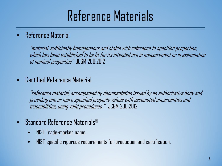# Reference Materials

#### • Reference Material

"material, sufficiently homogeneous and stable with reference to specified properties, which has been established to be fit for its intended use in measurement or in examination of nominal properties" JCGM 200:2012

#### • Certified Reference Material

"reference material, accompanied by documentation issued by an authoritative body and providing one or more specified property values with associated uncertainties and traceabilities, using valid procedures." JCGM 200:2012

- Standard Reference Materials®
	- NIST Trade-marked name.
	- NIST-specific rigorous requirements for production and certification.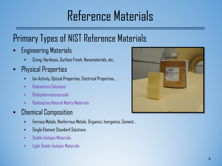# Reference Materials

#### Primary Types of NIST Reference Materials

- Engineering Materials
	- Sizing, Hardness, Surface Finish, Nanomaterials, etc…
- Physical Properties
	- Ion Activity, Optical Properties, Electrical Properties…
	- Radioactive Solutions
	- Radiopharmaceutcicals
	- Radioactive Natural Matrix Materials
- Chemical Composition
	- Ferrous Metals, Nonferrous Metals, Organics, Inorganics, Cement…
	- Single Element Standard Solutions
	- Stable Isotopic Materials
	- Light Stable Isotopic Materials

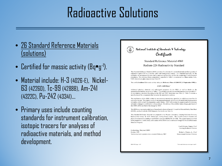# Radioactive Solutions

- 26 Standard Reference Materials (solutions)
- Certified for massic activity (Bq•g-1 ).
- Material include: H-3 (4026-E), Nickel-63 (4226D), Tc-99 (4288B), Am-241 (4322C), Pu-242 (4334I)…
- Primary uses include counting standards for instrument calibration, isotopic tracers for analyses of radioactive materials, and method development.

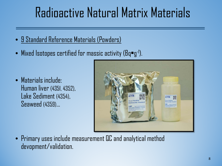# Radioactive Natural Matrix Materials

- 9 Standard Reference Materials (Powders)
- Mixed Isotopes certified for massic activity (Bq•g-1 ).

• Materials include: Human liver (4351, 4352), Lake Sediment (4354), Seaweed (4359)…



• Primary uses include measurement QC and analytical method devopment/validation.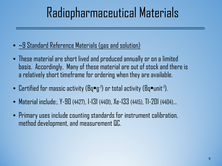# Radiopharmaceutical Materials

- ~9 Standard Reference Materials (gas and solution)
- These material are short lived and produced annually or on a limited basis. Accordingly, Many of these material are out of stock and there is a relatively short timeframe for ordering when they are available.
- $\bullet\,$  Certified for massic activity (Bq $\bullet$ g-1) or total activity (Bq $\bullet$ unit-1).
- Material include:, Y-90 (4427), I-131 (4401), Xe-133 (4415), Tl-201 (4404)…
- Primary uses include counting standards for instrument calibration, method development, and measurement QC.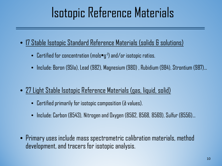# Isotopic Reference Materials

- 17 Stable Isotopic Standard Reference Materials (solids & solutions)
	- Certified for concentration (mols•g-1 ) and/or isotopic ratios.
	- Include: Boron (951a), Lead (982), Magnesium (980) , Rubidium (984), Strontium (987)...
- 27 Light Stable Isotopic Reference Materials (gas, liquid, solid)
	- Certified primarily for isotopic composition (∂ values).
	- Include: Carbon (8543), Nitrogen and Oxygen (8562, 8568, 8569), Sulfur (8556)...
- Primary uses include mass spectrometric calibration materials, method development, and tracers for isotopic analysis.